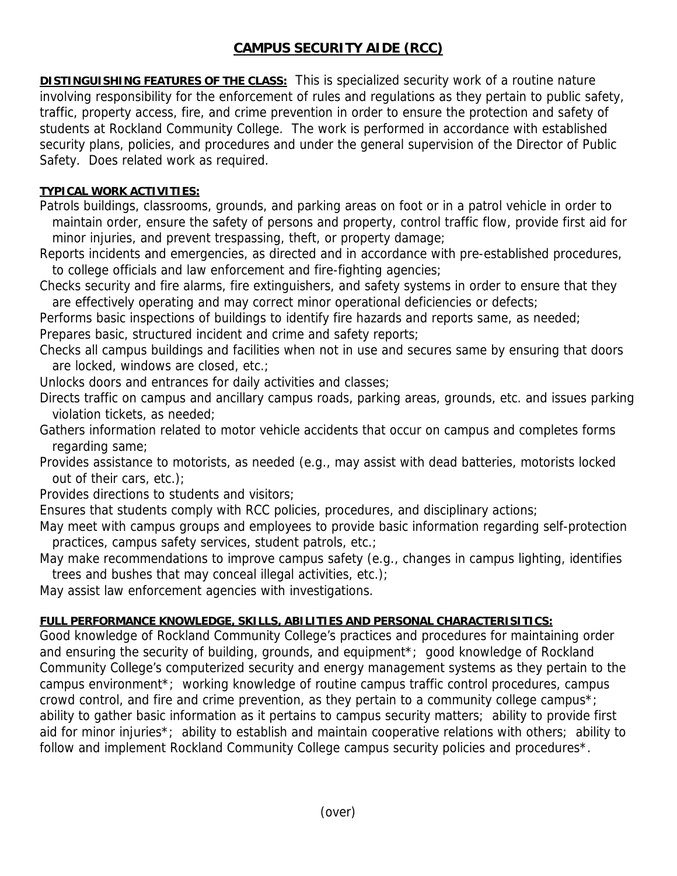# **CAMPUS SECURITY AIDE (RCC)**

**DISTINGUISHING FEATURES OF THE CLASS:** This is specialized security work of a routine nature involving responsibility for the enforcement of rules and regulations as they pertain to public safety, traffic, property access, fire, and crime prevention in order to ensure the protection and safety of students at Rockland Community College. The work is performed in accordance with established security plans, policies, and procedures and under the general supervision of the Director of Public Safety. Does related work as required.

### **TYPICAL WORK ACTIVITIES:**

Patrols buildings, classrooms, grounds, and parking areas on foot or in a patrol vehicle in order to maintain order, ensure the safety of persons and property, control traffic flow, provide first aid for minor injuries, and prevent trespassing, theft, or property damage;

Reports incidents and emergencies, as directed and in accordance with pre-established procedures, to college officials and law enforcement and fire-fighting agencies;

Checks security and fire alarms, fire extinguishers, and safety systems in order to ensure that they are effectively operating and may correct minor operational deficiencies or defects;

Performs basic inspections of buildings to identify fire hazards and reports same, as needed; Prepares basic, structured incident and crime and safety reports;

Checks all campus buildings and facilities when not in use and secures same by ensuring that doors are locked, windows are closed, etc.;

Unlocks doors and entrances for daily activities and classes;

Directs traffic on campus and ancillary campus roads, parking areas, grounds, etc. and issues parking violation tickets, as needed;

Gathers information related to motor vehicle accidents that occur on campus and completes forms regarding same;

Provides assistance to motorists, as needed (e.g., may assist with dead batteries, motorists locked out of their cars, etc.);

Provides directions to students and visitors;

Ensures that students comply with RCC policies, procedures, and disciplinary actions;

May meet with campus groups and employees to provide basic information regarding self-protection practices, campus safety services, student patrols, etc.;

May make recommendations to improve campus safety (e.g., changes in campus lighting, identifies trees and bushes that may conceal illegal activities, etc.);

May assist law enforcement agencies with investigations.

# **FULL PERFORMANCE KNOWLEDGE, SKILLS, ABILITIES AND PERSONAL CHARACTERISITICS:**

Good knowledge of Rockland Community College's practices and procedures for maintaining order and ensuring the security of building, grounds, and equipment\*; good knowledge of Rockland Community College's computerized security and energy management systems as they pertain to the campus environment\*; working knowledge of routine campus traffic control procedures, campus crowd control, and fire and crime prevention, as they pertain to a community college campus\*; ability to gather basic information as it pertains to campus security matters; ability to provide first aid for minor injuries\*; ability to establish and maintain cooperative relations with others; ability to follow and implement Rockland Community College campus security policies and procedures\*.